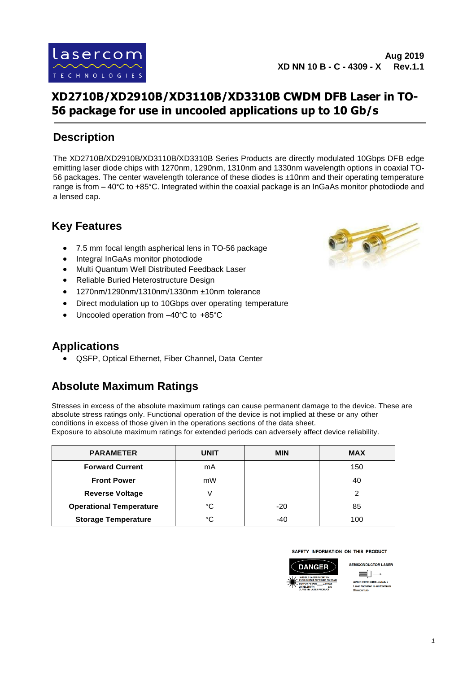

## **XD2710B/XD2910B/XD3110B/XD3310B CWDM DFB Laser in TO-56 package for use in uncooled applications up to 10 Gb/s**

#### **Description**

The XD2710B/XD2910B/XD3110B/XD3310B Series Products are directly modulated 10Gbps DFB edge emitting laser diode chips with 1270nm, 1290nm, 1310nm and 1330nm wavelength options in coaxial TO-56 packages. The center wavelength tolerance of these diodes is ±10nm and their operating temperature range is from – 40°C to +85°C. Integrated within the coaxial package is an InGaAs monitor photodiode and a lensed cap.

#### **Key Features**

- 7.5 mm focal length aspherical lens in TO-56 package
- Integral InGaAs monitor photodiode
- Multi Quantum Well Distributed Feedback Laser
- Reliable Buried Heterostructure Design
- 1270nm/1290nm/1310nm/1330nm ±10nm tolerance
- Direct modulation up to 10Gbps over operating temperature
- Uncooled operation from –40°C to +85°C



• QSFP, Optical Ethernet, Fiber Channel, Data Center

#### **Absolute Maximum Ratings**

Stresses in excess of the absolute maximum ratings can cause permanent damage to the device. These are absolute stress ratings only. Functional operation of the device is not implied at these or any other conditions in excess of those given in the operations sections of the data sheet. Exposure to absolute maximum ratings for extended periods can adversely affect device reliability.

| <b>PARAMETER</b>               | UNIT | <b>MIN</b> | <b>MAX</b> |
|--------------------------------|------|------------|------------|
| <b>Forward Current</b>         | mA   |            | 150        |
| <b>Front Power</b>             | mW   |            | 40         |
| <b>Reverse Voltage</b>         |      |            | っ          |
| <b>Operational Temperature</b> | ۰c   | $-20$      | 85         |
| <b>Storage Temperature</b>     | ۰c   | -40        | 100        |



SAFETY INFORMATION ON THIS PRODUCT



**OID EXPOSURE** 

**SEMICONDUCTOR LASER**